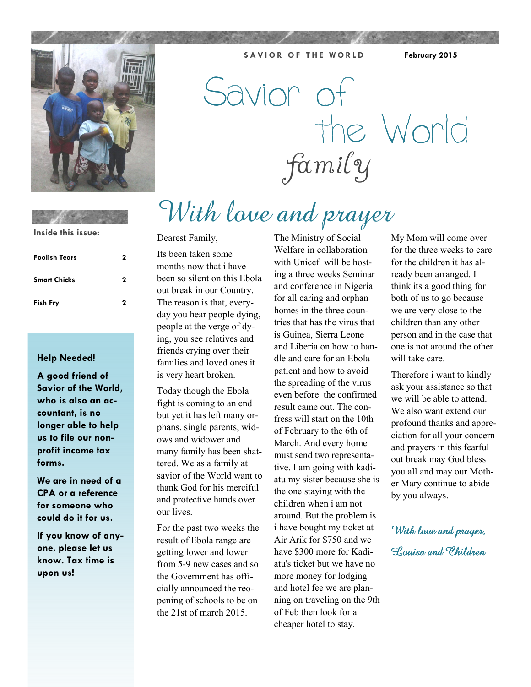

With love and prayer Savior of the World family

**SAVIOR OF THE WORLD** February 2015

**Inside this issue:**

| <b>Foolish Tears</b> | 2 |
|----------------------|---|
| <b>Smart Chicks</b>  | 2 |
| <b>Fish Fry</b>      | 2 |

### **Help Needed!**

**A good friend of Savior of the World, who is also an accountant, is no longer able to help us to file our nonprofit income tax forms.** 

**We are in need of a CPA or a reference for someone who could do it for us.** 

**If you know of anyone, please let us know. Tax time is upon us!** 

### Dearest Family,

Its been taken some months now that i have been so silent on this Ebola out break in our Country. The reason is that, everyday you hear people dying, people at the verge of dying, you see relatives and friends crying over their families and loved ones it is very heart broken.

Today though the Ebola fight is coming to an end but yet it has left many orphans, single parents, widows and widower and many family has been shattered. We as a family at savior of the World want to thank God for his merciful and protective hands over our lives.

For the past two weeks the result of Ebola range are getting lower and lower from 5-9 new cases and so the Government has officially announced the reopening of schools to be on the 21st of march 2015.

The Ministry of Social Welfare in collaboration with Unicef will be hosting a three weeks Seminar and conference in Nigeria for all caring and orphan homes in the three countries that has the virus that is Guinea, Sierra Leone and Liberia on how to handle and care for an Ebola patient and how to avoid the spreading of the virus even before the confirmed result came out. The confress will start on the 10th of February to the 6th of March. And every home must send two representative. I am going with kadiatu my sister because she is the one staying with the children when i am not around. But the problem is i have bought my ticket at Air Arik for \$750 and we have \$300 more for Kadiatu's ticket but we have no more money for lodging and hotel fee we are planning on traveling on the 9th of Feb then look for a cheaper hotel to stay.

My Mom will come over for the three weeks to care for the children it has already been arranged. I think its a good thing for both of us to go because we are very close to the children than any other person and in the case that one is not around the other will take care.

Therefore i want to kindly ask your assistance so that we will be able to attend. We also want extend our profound thanks and appreciation for all your concern and prayers in this fearful out break may God bless you all and may our Mother Mary continue to abide by you always.

With love and prayer, Louisa and Childron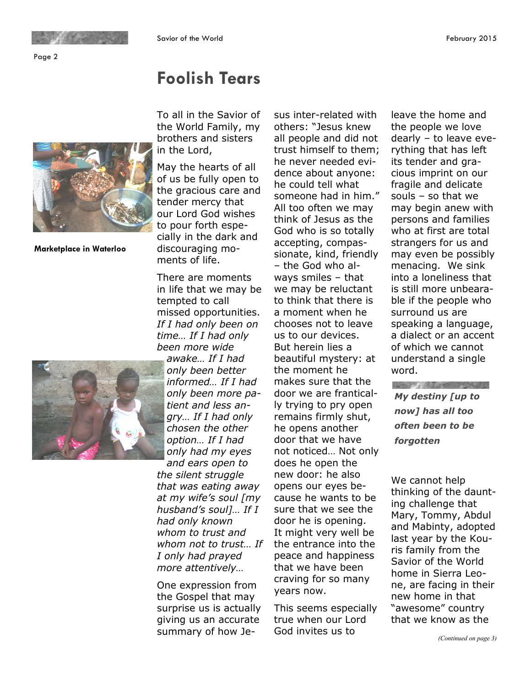Page 2

**Marketplace in Waterloo** 

To all in the Savior of the World Family, my brothers and sisters in the Lord,

**Foolish Tears** 

May the hearts of all of us be fully open to the gracious care and tender mercy that our Lord God wishes to pour forth especially in the dark and discouraging moments of life.

There are moments in life that we may be tempted to call missed opportunities. *If I had only been on time… If I had only been more wide* 

*awake… If I had only been better informed… If I had only been more patient and less angry… If I had only chosen the other option… If I had only had my eyes* 

*and ears open to the silent struggle that was eating away at my wife's soul [my husband's soul]… If I had only known whom to trust and whom not to trust… If I only had prayed more attentively…* 

One expression from the Gospel that may surprise us is actually giving us an accurate summary of how Jesus inter-related with others: "Jesus knew all people and did not trust himself to them; he never needed evidence about anyone: he could tell what someone had in him." All too often we may think of Jesus as the God who is so totally accepting, compassionate, kind, friendly – the God who always smiles – that we may be reluctant to think that there is a moment when he chooses not to leave us to our devices. But herein lies a beautiful mystery: at the moment he makes sure that the door we are frantically trying to pry open remains firmly shut, he opens another door that we have not noticed… Not only does he open the new door: he also opens our eyes because he wants to be sure that we see the door he is opening. It might very well be the entrance into the peace and happiness that we have been craving for so many years now.

This seems especially true when our Lord God invites us to

leave the home and the people we love dearly – to leave everything that has left its tender and gracious imprint on our fragile and delicate souls – so that we may begin anew with persons and families who at first are total strangers for us and may even be possibly menacing. We sink into a loneliness that is still more unbearable if the people who surround us are speaking a language, a dialect or an accent of which we cannot understand a single word.

and the state of the state of the state of *My destiny [up to now] has all too often been to be forgotten*

We cannot help thinking of the daunting challenge that Mary, Tommy, Abdul and Mabinty, adopted last year by the Kouris family from the Savior of the World home in Sierra Leone, are facing in their new home in that "awesome" country that we know as the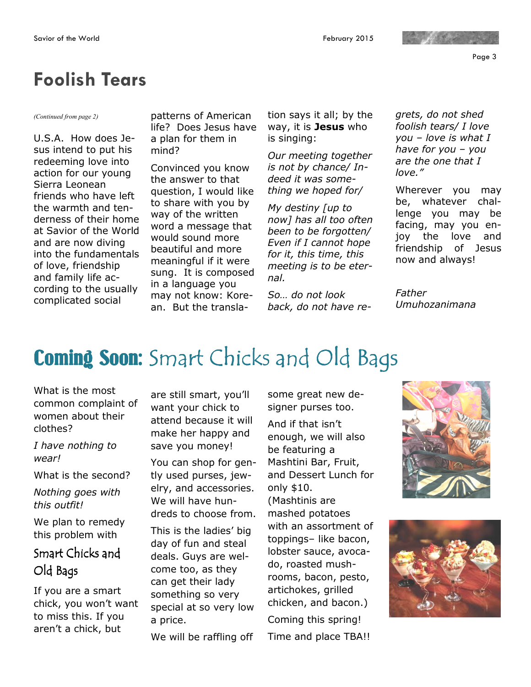Page 3

# **Foolish Tears**

U.S.A. How does Jesus intend to put his redeeming love into action for our young Sierra Leonean friends who have left the warmth and tenderness of their home at Savior of the World and are now diving into the fundamentals of love, friendship and family life according to the usually complicated social

*(Continued from page 2)* patterns of American life? Does Jesus have a plan for them in mind?

> Convinced you know the answer to that question, I would like to share with you by way of the written word a message that would sound more beautiful and more meaningful if it were sung. It is composed in a language you may not know: Korean. But the transla

tion says it all; by the way, it is **Jesus** who is singing:

*Our meeting together is not by chance/ Indeed it was something we hoped for/* 

*My destiny [up to now] has all too often been to be forgotten/ Even if I cannot hope for it, this time, this meeting is to be eternal.* 

*So… do not look back, do not have re-* *grets, do not shed foolish tears/ I love you – love is what I have for you – you are the one that I love."* 

Wherever you may be, whatever challenge you may be facing, may you enjoy the love and friendship of Jesus now and always!

*Father Umuhozanimana* 

# Coming Soon: Smart Chicks and Old Bags

What is the most common complaint of women about their clothes?

*I have nothing to wear!* 

What is the second?

*Nothing goes with this outfit!* 

We plan to remedy this problem with

## Smart Chicks and Old Bags

If you are a smart chick, you won't want to miss this. If you aren't a chick, but

are still smart, you'll want your chick to attend because it will make her happy and save you money!

You can shop for gently used purses, jewelry, and accessories. We will have hundreds to choose from.

This is the ladies' big day of fun and steal deals. Guys are welcome too, as they can get their lady something so very special at so very low a price.

We will be raffling off

some great new designer purses too.

And if that isn't enough, we will also be featuring a Mashtini Bar, Fruit, and Dessert Lunch for only \$10. (Mashtinis are mashed potatoes with an assortment of toppings– like bacon, lobster sauce, avocado, roasted mushrooms, bacon, pesto, artichokes, grilled chicken, and bacon.) Coming this spring! Time and place TBA!!